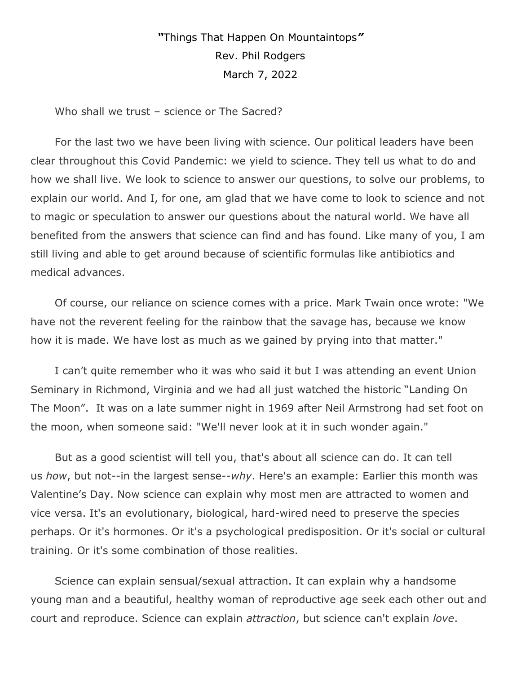## *"*Things That Happen On Mountaintops*"* Rev. Phil Rodgers March 7, 2022

Who shall we trust – science or The Sacred?

For the last two we have been living with science. Our political leaders have been clear throughout this Covid Pandemic: we yield to science. They tell us what to do and how we shall live. We look to science to answer our questions, to solve our problems, to explain our world. And I, for one, am glad that we have come to look to science and not to magic or speculation to answer our questions about the natural world. We have all benefited from the answers that science can find and has found. Like many of you, I am still living and able to get around because of scientific formulas like antibiotics and medical advances.

Of course, our reliance on science comes with a price. Mark Twain once wrote: "We have not the reverent feeling for the rainbow that the savage has, because we know how it is made. We have lost as much as we gained by prying into that matter."

I can't quite remember who it was who said it but I was attending an event Union Seminary in Richmond, Virginia and we had all just watched the historic "Landing On The Moon". It was on a late summer night in 1969 after Neil Armstrong had set foot on the moon, when someone said: "We'll never look at it in such wonder again."

But as a good scientist will tell you, that's about all science can do. It can tell us *how*, but not--in the largest sense--*why*. Here's an example: Earlier this month was Valentine's Day. Now science can explain why most men are attracted to women and vice versa. It's an evolutionary, biological, hard-wired need to preserve the species perhaps. Or it's hormones. Or it's a psychological predisposition. Or it's social or cultural training. Or it's some combination of those realities.

Science can explain sensual/sexual attraction. It can explain why a handsome young man and a beautiful, healthy woman of reproductive age seek each other out and court and reproduce. Science can explain *attraction*, but science can't explain *love*.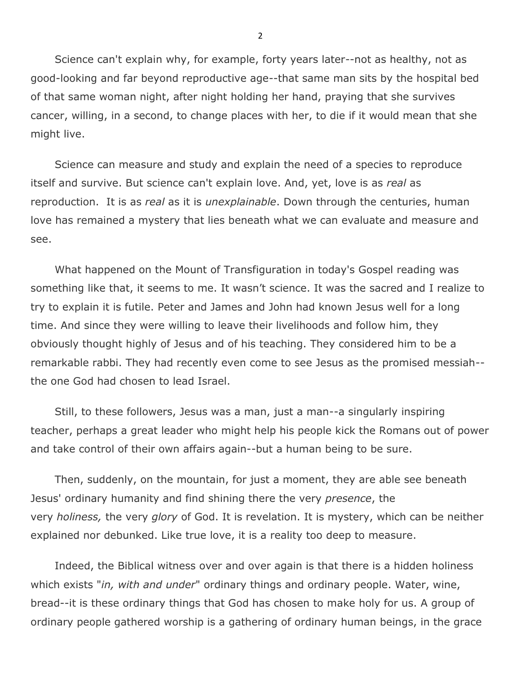Science can't explain why, for example, forty years later--not as healthy, not as good-looking and far beyond reproductive age--that same man sits by the hospital bed of that same woman night, after night holding her hand, praying that she survives cancer, willing, in a second, to change places with her, to die if it would mean that she might live.

Science can measure and study and explain the need of a species to reproduce itself and survive. But science can't explain love. And, yet, love is as *real* as reproduction. It is as *real* as it is *unexplainable*. Down through the centuries, human love has remained a mystery that lies beneath what we can evaluate and measure and see.

What happened on the Mount of Transfiguration in today's Gospel reading was something like that, it seems to me. It wasn't science. It was the sacred and I realize to try to explain it is futile. Peter and James and John had known Jesus well for a long time. And since they were willing to leave their livelihoods and follow him, they obviously thought highly of Jesus and of his teaching. They considered him to be a remarkable rabbi. They had recently even come to see Jesus as the promised messiah- the one God had chosen to lead Israel.

Still, to these followers, Jesus was a man, just a man--a singularly inspiring teacher, perhaps a great leader who might help his people kick the Romans out of power and take control of their own affairs again--but a human being to be sure.

Then, suddenly, on the mountain, for just a moment, they are able see beneath Jesus' ordinary humanity and find shining there the very *presence*, the very *holiness,* the very *glory* of God. It is revelation. It is mystery, which can be neither explained nor debunked. Like true love, it is a reality too deep to measure.

Indeed, the Biblical witness over and over again is that there is a hidden holiness which exists "*in, with and under*" ordinary things and ordinary people. Water, wine, bread--it is these ordinary things that God has chosen to make holy for us. A group of ordinary people gathered worship is a gathering of ordinary human beings, in the grace